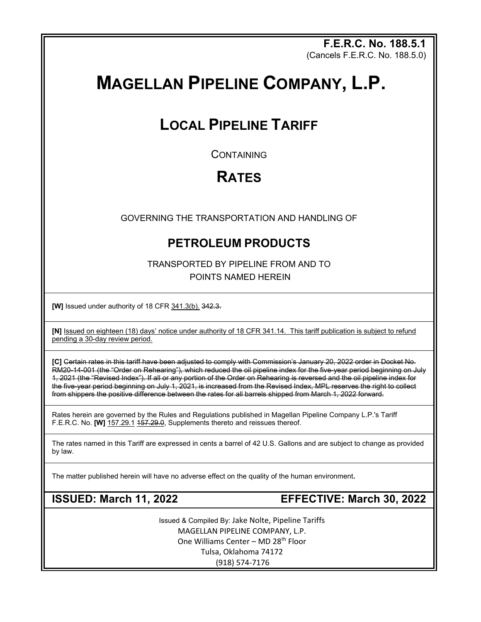**F.E.R.C. No. 188.5.1** (Cancels F.E.R.C. No. 188.5.0)

# **MAGELLAN PIPELINE COMPANY, L.P.**

## **LOCAL PIPELINE TARIFF**

**CONTAINING** 

## **RATES**

GOVERNING THE TRANSPORTATION AND HANDLING OF

## **PETROLEUM PRODUCTS**

TRANSPORTED BY PIPELINE FROM AND TO POINTS NAMED HEREIN

**[W]** Issued under authority of 18 CFR 341.3(b). 342.3.

**[N]** Issued on eighteen (18) days' notice under authority of 18 CFR 341.14. This tariff publication is subject to refund pending a 30-day review period.

**[C]** Certain rates in this tariff have been adjusted to comply with Commission's January 20, 2022 order in Docket No. RM20-14-001 (the "Order on Rehearing"), which reduced the oil pipeline index for the five-year period beginning on July 1, 2021 (the "Revised Index"). If all or any portion of the Order on Rehearing is reversed and the oil pipeline index for the five-year period beginning on July 1, 2021, is increased from the Revised Index, MPL reserves the right to collect from shippers the positive difference between the rates for all barrels shipped from March 1, 2022 forward.

Rates herein are governed by the Rules and Regulations published in Magellan Pipeline Company L.P.'s Tariff F.E.R.C. No. **[W]** 157.29.1 157.29.0, Supplements thereto and reissues thereof.

The rates named in this Tariff are expressed in cents a barrel of 42 U.S. Gallons and are subject to change as provided by law.

The matter published herein will have no adverse effect on the quality of the human environment**.**

**ISSUED: March 11, 2022 EFFECTIVE: March 30, 2022**

Issued & Compiled By: Jake Nolte, Pipeline Tariffs MAGELLAN PIPELINE COMPANY, L.P. One Williams Center – MD 28<sup>th</sup> Floor Tulsa, Oklahoma 74172 (918) 574-7176